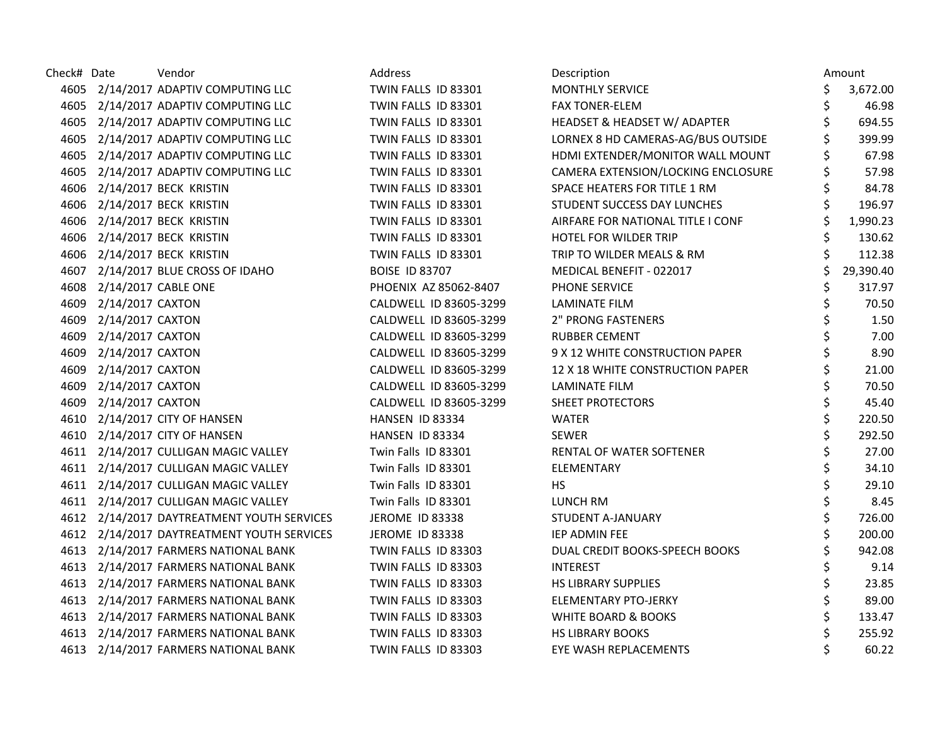| Check# Date |                          | Vendor                                     | Address                | Description                        |     | Amount    |
|-------------|--------------------------|--------------------------------------------|------------------------|------------------------------------|-----|-----------|
|             |                          | 4605 2/14/2017 ADAPTIV COMPUTING LLC       | TWIN FALLS ID 83301    | <b>MONTHLY SERVICE</b>             | \$. | 3,672.00  |
|             |                          | 4605 2/14/2017 ADAPTIV COMPUTING LLC       | TWIN FALLS ID 83301    | <b>FAX TONER-ELEM</b>              | \$  | 46.98     |
| 4605        |                          | 2/14/2017 ADAPTIV COMPUTING LLC            | TWIN FALLS ID 83301    | HEADSET & HEADSET W/ ADAPTER       | \$  | 694.55    |
| 4605        |                          | 2/14/2017 ADAPTIV COMPUTING LLC            | TWIN FALLS ID 83301    | LORNEX 8 HD CAMERAS-AG/BUS OUTSIDE |     | 399.99    |
|             |                          | 4605 2/14/2017 ADAPTIV COMPUTING LLC       | TWIN FALLS ID 83301    | HDMI EXTENDER/MONITOR WALL MOUNT   |     | 67.98     |
|             |                          | 4605 2/14/2017 ADAPTIV COMPUTING LLC       | TWIN FALLS ID 83301    | CAMERA EXTENSION/LOCKING ENCLOSURE | \$  | 57.98     |
|             |                          | 4606 2/14/2017 BECK KRISTIN                | TWIN FALLS ID 83301    | SPACE HEATERS FOR TITLE 1 RM       |     | 84.78     |
|             |                          | 4606 2/14/2017 BECK KRISTIN                | TWIN FALLS ID 83301    | STUDENT SUCCESS DAY LUNCHES        | \$  | 196.97    |
|             |                          | 4606 2/14/2017 BECK KRISTIN                | TWIN FALLS ID 83301    | AIRFARE FOR NATIONAL TITLE I CONF  |     | 1,990.23  |
|             |                          | 4606 2/14/2017 BECK KRISTIN                | TWIN FALLS ID 83301    | HOTEL FOR WILDER TRIP              |     | 130.62    |
|             |                          | 4606 2/14/2017 BECK KRISTIN                | TWIN FALLS ID 83301    | TRIP TO WILDER MEALS & RM          |     | 112.38    |
|             |                          | 4607 2/14/2017 BLUE CROSS OF IDAHO         | <b>BOISE ID 83707</b>  | MEDICAL BENEFIT - 022017           | \$  | 29,390.40 |
|             | 4608 2/14/2017 CABLE ONE |                                            | PHOENIX AZ 85062-8407  | PHONE SERVICE                      | \$  | 317.97    |
| 4609        | 2/14/2017 CAXTON         |                                            | CALDWELL ID 83605-3299 | <b>LAMINATE FILM</b>               | Ś   | 70.50     |
| 4609        | 2/14/2017 CAXTON         |                                            | CALDWELL ID 83605-3299 | <b>2" PRONG FASTENERS</b>          |     | 1.50      |
| 4609        | 2/14/2017 CAXTON         |                                            | CALDWELL ID 83605-3299 | <b>RUBBER CEMENT</b>               |     | 7.00      |
| 4609        | 2/14/2017 CAXTON         |                                            | CALDWELL ID 83605-3299 | 9 X 12 WHITE CONSTRUCTION PAPER    |     | 8.90      |
| 4609        | 2/14/2017 CAXTON         |                                            | CALDWELL ID 83605-3299 | 12 X 18 WHITE CONSTRUCTION PAPER   | \$  | 21.00     |
| 4609        | 2/14/2017 CAXTON         |                                            | CALDWELL ID 83605-3299 | <b>LAMINATE FILM</b>               |     | 70.50     |
|             | 4609 2/14/2017 CAXTON    |                                            | CALDWELL ID 83605-3299 | <b>SHEET PROTECTORS</b>            |     | 45.40     |
|             |                          | 4610 2/14/2017 CITY OF HANSEN              | HANSEN ID 83334        | <b>WATER</b>                       |     | 220.50    |
|             |                          | 4610 2/14/2017 CITY OF HANSEN              | HANSEN ID 83334        | <b>SEWER</b>                       |     | 292.50    |
|             |                          | 4611 2/14/2017 CULLIGAN MAGIC VALLEY       | Twin Falls ID 83301    | RENTAL OF WATER SOFTENER           | \$  | 27.00     |
|             |                          | 4611 2/14/2017 CULLIGAN MAGIC VALLEY       | Twin Falls ID 83301    | ELEMENTARY                         | \$  | 34.10     |
|             |                          | 4611 2/14/2017 CULLIGAN MAGIC VALLEY       | Twin Falls ID 83301    | <b>HS</b>                          | \$  | 29.10     |
|             |                          | 4611 2/14/2017 CULLIGAN MAGIC VALLEY       | Twin Falls ID 83301    | LUNCH RM                           | \$  | 8.45      |
|             |                          | 4612 2/14/2017 DAYTREATMENT YOUTH SERVICES | JEROME ID 83338        | STUDENT A-JANUARY                  | \$  | 726.00    |
|             |                          | 4612 2/14/2017 DAYTREATMENT YOUTH SERVICES | JEROME ID 83338        | IEP ADMIN FEE                      |     | 200.00    |
|             |                          | 4613 2/14/2017 FARMERS NATIONAL BANK       | TWIN FALLS ID 83303    | DUAL CREDIT BOOKS-SPEECH BOOKS     |     | 942.08    |
|             |                          | 4613 2/14/2017 FARMERS NATIONAL BANK       | TWIN FALLS ID 83303    | <b>INTEREST</b>                    |     | 9.14      |
|             |                          | 4613 2/14/2017 FARMERS NATIONAL BANK       | TWIN FALLS ID 83303    | <b>HS LIBRARY SUPPLIES</b>         |     | 23.85     |
|             |                          | 4613 2/14/2017 FARMERS NATIONAL BANK       | TWIN FALLS ID 83303    | <b>ELEMENTARY PTO-JERKY</b>        |     | 89.00     |
|             |                          | 4613 2/14/2017 FARMERS NATIONAL BANK       | TWIN FALLS ID 83303    | <b>WHITE BOARD &amp; BOOKS</b>     |     | 133.47    |
|             |                          | 4613 2/14/2017 FARMERS NATIONAL BANK       | TWIN FALLS ID 83303    | <b>HS LIBRARY BOOKS</b>            |     | 255.92    |
|             |                          | 4613 2/14/2017 FARMERS NATIONAL BANK       | TWIN FALLS ID 83303    | EYE WASH REPLACEMENTS              |     | 60.22     |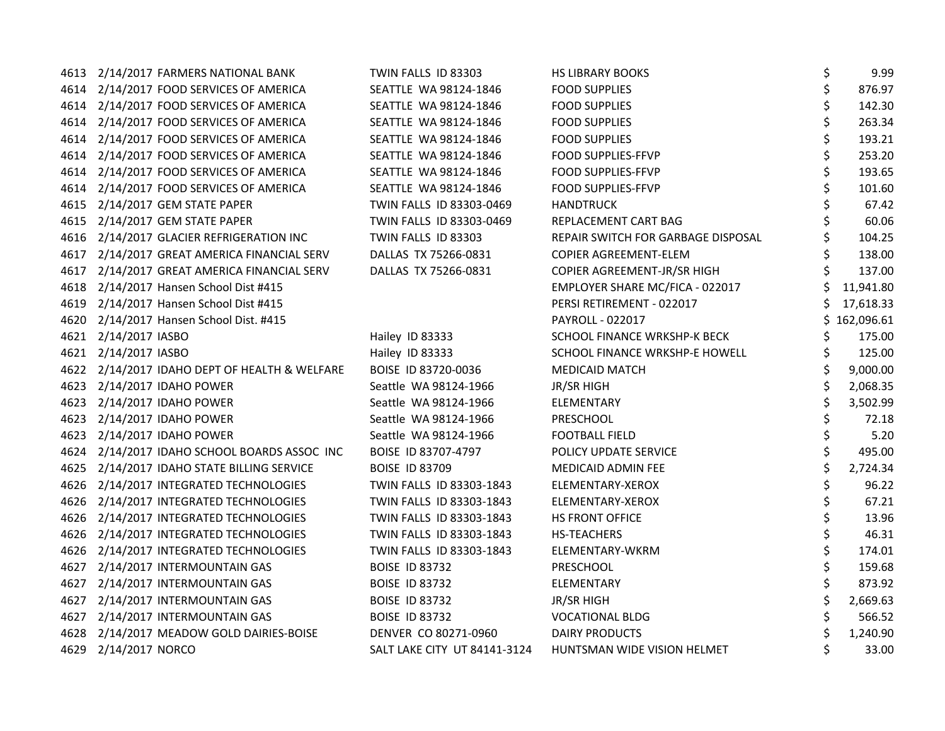|      | 4613 2/14/2017 FARMERS NATIONAL BANK          | TWIN FALLS ID 83303          | <b>HS LIBRARY BOOKS</b>            | \$<br>9.99     |
|------|-----------------------------------------------|------------------------------|------------------------------------|----------------|
|      | 4614 2/14/2017 FOOD SERVICES OF AMERICA       | SEATTLE WA 98124-1846        | <b>FOOD SUPPLIES</b>               | \$<br>876.97   |
|      | 4614 2/14/2017 FOOD SERVICES OF AMERICA       | SEATTLE WA 98124-1846        | <b>FOOD SUPPLIES</b>               | \$<br>142.30   |
|      | 4614 2/14/2017 FOOD SERVICES OF AMERICA       | SEATTLE WA 98124-1846        | <b>FOOD SUPPLIES</b>               | 263.34         |
| 4614 | 2/14/2017 FOOD SERVICES OF AMERICA            | SEATTLE WA 98124-1846        | <b>FOOD SUPPLIES</b>               | 193.21         |
| 4614 | 2/14/2017 FOOD SERVICES OF AMERICA            | SEATTLE WA 98124-1846        | <b>FOOD SUPPLIES-FFVP</b>          | 253.20         |
|      | 4614 2/14/2017 FOOD SERVICES OF AMERICA       | SEATTLE WA 98124-1846        | <b>FOOD SUPPLIES-FFVP</b>          | 193.65         |
|      | 4614 2/14/2017 FOOD SERVICES OF AMERICA       | SEATTLE WA 98124-1846        | <b>FOOD SUPPLIES-FFVP</b>          | 101.60         |
|      | 4615 2/14/2017 GEM STATE PAPER                | TWIN FALLS ID 83303-0469     | <b>HANDTRUCK</b>                   | 67.42          |
|      | 4615 2/14/2017 GEM STATE PAPER                | TWIN FALLS ID 83303-0469     | REPLACEMENT CART BAG               | 60.06          |
|      | 4616 2/14/2017 GLACIER REFRIGERATION INC      | TWIN FALLS ID 83303          | REPAIR SWITCH FOR GARBAGE DISPOSAL | 104.25         |
|      | 4617 2/14/2017 GREAT AMERICA FINANCIAL SERV   | DALLAS TX 75266-0831         | <b>COPIER AGREEMENT-ELEM</b>       | 138.00         |
|      | 4617 2/14/2017 GREAT AMERICA FINANCIAL SERV   | DALLAS TX 75266-0831         | COPIER AGREEMENT-JR/SR HIGH        | 137.00         |
|      | 4618 2/14/2017 Hansen School Dist #415        |                              | EMPLOYER SHARE MC/FICA - 022017    | 11,941.80      |
|      | 4619 2/14/2017 Hansen School Dist #415        |                              | PERSI RETIREMENT - 022017          | 17,618.33      |
| 4620 | 2/14/2017 Hansen School Dist. #415            |                              | PAYROLL - 022017                   | 162,096.61     |
| 4621 | 2/14/2017 IASBO                               | Hailey ID 83333              | SCHOOL FINANCE WRKSHP-K BECK       | 175.00         |
|      | 4621 2/14/2017 IASBO                          | Hailey ID 83333              | SCHOOL FINANCE WRKSHP-E HOWELL     | 125.00         |
|      | 4622 2/14/2017 IDAHO DEPT OF HEALTH & WELFARE | BOISE ID 83720-0036          | <b>MEDICAID MATCH</b>              | 9,000.00       |
|      | 4623 2/14/2017 IDAHO POWER                    | Seattle WA 98124-1966        | <b>JR/SR HIGH</b>                  | 2,068.35       |
|      | 4623 2/14/2017 IDAHO POWER                    | Seattle WA 98124-1966        | ELEMENTARY                         | 3,502.99       |
|      | 4623 2/14/2017 IDAHO POWER                    | Seattle WA 98124-1966        | PRESCHOOL                          | 72.18          |
|      | 4623 2/14/2017 IDAHO POWER                    | Seattle WA 98124-1966        | <b>FOOTBALL FIELD</b>              | 5.20           |
|      | 4624 2/14/2017 IDAHO SCHOOL BOARDS ASSOC INC  | BOISE ID 83707-4797          | POLICY UPDATE SERVICE              | 495.00         |
|      | 4625 2/14/2017 IDAHO STATE BILLING SERVICE    | <b>BOISE ID 83709</b>        | <b>MEDICAID ADMIN FEE</b>          | \$<br>2,724.34 |
|      | 4626 2/14/2017 INTEGRATED TECHNOLOGIES        | TWIN FALLS ID 83303-1843     | ELEMENTARY-XEROX                   | \$<br>96.22    |
|      | 4626 2/14/2017 INTEGRATED TECHNOLOGIES        | TWIN FALLS ID 83303-1843     | ELEMENTARY-XEROX                   | 67.21          |
| 4626 | 2/14/2017 INTEGRATED TECHNOLOGIES             | TWIN FALLS ID 83303-1843     | <b>HS FRONT OFFICE</b>             | 13.96          |
| 4626 | 2/14/2017 INTEGRATED TECHNOLOGIES             | TWIN FALLS ID 83303-1843     | <b>HS-TEACHERS</b>                 | 46.31          |
|      | 4626 2/14/2017 INTEGRATED TECHNOLOGIES        | TWIN FALLS ID 83303-1843     | ELEMENTARY-WKRM                    | 174.01         |
| 4627 | 2/14/2017 INTERMOUNTAIN GAS                   | <b>BOISE ID 83732</b>        | PRESCHOOL                          | 159.68         |
| 4627 | 2/14/2017 INTERMOUNTAIN GAS                   | <b>BOISE ID 83732</b>        | ELEMENTARY                         | 873.92         |
|      | 4627 2/14/2017 INTERMOUNTAIN GAS              | <b>BOISE ID 83732</b>        | JR/SR HIGH                         | 2,669.63       |
|      | 4627 2/14/2017 INTERMOUNTAIN GAS              | <b>BOISE ID 83732</b>        | <b>VOCATIONAL BLDG</b>             | 566.52         |
|      | 4628 2/14/2017 MEADOW GOLD DAIRIES-BOISE      | DENVER CO 80271-0960         | <b>DAIRY PRODUCTS</b>              | 1,240.90       |
|      | 4629 2/14/2017 NORCO                          | SALT LAKE CITY UT 84141-3124 | HUNTSMAN WIDE VISION HELMET        | 33.00          |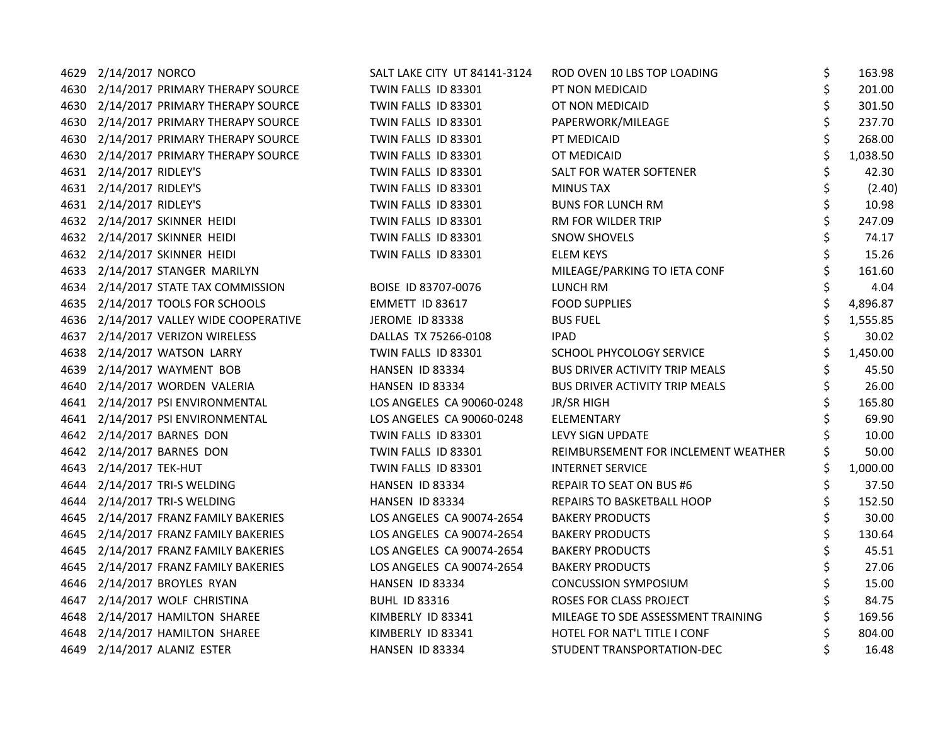| 4629 2/14/2017 NORCO                   | SALT LAKE CITY UT 84141-3124 | ROD OVEN 10 LBS TOP LOADING           | \$<br>163.98   |
|----------------------------------------|------------------------------|---------------------------------------|----------------|
| 4630 2/14/2017 PRIMARY THERAPY SOURCE  | TWIN FALLS ID 83301          | PT NON MEDICAID                       | \$<br>201.00   |
| 4630 2/14/2017 PRIMARY THERAPY SOURCE  | TWIN FALLS ID 83301          | OT NON MEDICAID                       | \$<br>301.50   |
| 4630 2/14/2017 PRIMARY THERAPY SOURCE  | TWIN FALLS ID 83301          | PAPERWORK/MILEAGE                     | 237.70         |
| 4630 2/14/2017 PRIMARY THERAPY SOURCE  | TWIN FALLS ID 83301          | PT MEDICAID                           | 268.00         |
| 4630 2/14/2017 PRIMARY THERAPY SOURCE  | TWIN FALLS ID 83301          | OT MEDICAID                           | 1,038.50       |
| 4631 2/14/2017 RIDLEY'S                | TWIN FALLS ID 83301          | SALT FOR WATER SOFTENER               | 42.30          |
| 4631 2/14/2017 RIDLEY'S                | TWIN FALLS ID 83301          | <b>MINUS TAX</b>                      | (2.40)         |
| 4631 2/14/2017 RIDLEY'S                | TWIN FALLS ID 83301          | <b>BUNS FOR LUNCH RM</b>              | 10.98          |
| 4632 2/14/2017 SKINNER HEIDI           | TWIN FALLS ID 83301          | RM FOR WILDER TRIP                    | 247.09         |
| 4632 2/14/2017 SKINNER HEIDI           | TWIN FALLS ID 83301          | <b>SNOW SHOVELS</b>                   | 74.17          |
| 4632 2/14/2017 SKINNER HEIDI           | TWIN FALLS ID 83301          | <b>ELEM KEYS</b>                      | 15.26          |
| 4633 2/14/2017 STANGER MARILYN         |                              | MILEAGE/PARKING TO IETA CONF          | 161.60         |
| 4634 2/14/2017 STATE TAX COMMISSION    | BOISE ID 83707-0076          | LUNCH RM                              | 4.04           |
| 4635 2/14/2017 TOOLS FOR SCHOOLS       | EMMETT ID 83617              | <b>FOOD SUPPLIES</b>                  | \$<br>4,896.87 |
| 4636 2/14/2017 VALLEY WIDE COOPERATIVE | JEROME ID 83338              | <b>BUS FUEL</b>                       | 1,555.85       |
| 4637 2/14/2017 VERIZON WIRELESS        | DALLAS TX 75266-0108         | <b>IPAD</b>                           | 30.02          |
| 4638 2/14/2017 WATSON LARRY            | TWIN FALLS ID 83301          | SCHOOL PHYCOLOGY SERVICE              | 1,450.00       |
| 4639 2/14/2017 WAYMENT BOB             | HANSEN ID 83334              | <b>BUS DRIVER ACTIVITY TRIP MEALS</b> | 45.50          |
| 4640 2/14/2017 WORDEN VALERIA          | HANSEN ID 83334              | <b>BUS DRIVER ACTIVITY TRIP MEALS</b> | 26.00          |
| 4641 2/14/2017 PSI ENVIRONMENTAL       | LOS ANGELES CA 90060-0248    | JR/SR HIGH                            | 165.80         |
| 4641 2/14/2017 PSI ENVIRONMENTAL       | LOS ANGELES CA 90060-0248    | ELEMENTARY                            | 69.90          |
| 4642 2/14/2017 BARNES DON              | TWIN FALLS ID 83301          | LEVY SIGN UPDATE                      | 10.00          |
| 4642 2/14/2017 BARNES DON              | TWIN FALLS ID 83301          | REIMBURSEMENT FOR INCLEMENT WEATHER   | 50.00          |
| 4643 2/14/2017 TEK-HUT                 | TWIN FALLS ID 83301          | <b>INTERNET SERVICE</b>               | \$<br>1,000.00 |
| 4644 2/14/2017 TRI-S WELDING           | HANSEN ID 83334              | <b>REPAIR TO SEAT ON BUS #6</b>       | \$<br>37.50    |
| 4644 2/14/2017 TRI-S WELDING           | HANSEN ID 83334              | REPAIRS TO BASKETBALL HOOP            | \$<br>152.50   |
| 4645 2/14/2017 FRANZ FAMILY BAKERIES   | LOS ANGELES CA 90074-2654    | <b>BAKERY PRODUCTS</b>                | 30.00          |
| 4645 2/14/2017 FRANZ FAMILY BAKERIES   | LOS ANGELES CA 90074-2654    | <b>BAKERY PRODUCTS</b>                | 130.64         |
| 4645 2/14/2017 FRANZ FAMILY BAKERIES   | LOS ANGELES CA 90074-2654    | <b>BAKERY PRODUCTS</b>                | 45.51          |
| 4645 2/14/2017 FRANZ FAMILY BAKERIES   | LOS ANGELES CA 90074-2654    | <b>BAKERY PRODUCTS</b>                | 27.06          |
| 4646 2/14/2017 BROYLES RYAN            | HANSEN ID 83334              | <b>CONCUSSION SYMPOSIUM</b>           | 15.00          |
| 4647 2/14/2017 WOLF CHRISTINA          | <b>BUHL ID 83316</b>         | ROSES FOR CLASS PROJECT               | 84.75          |
| 4648 2/14/2017 HAMILTON SHAREE         | KIMBERLY ID 83341            | MILEAGE TO SDE ASSESSMENT TRAINING    | 169.56         |
| 4648 2/14/2017 HAMILTON SHAREE         | KIMBERLY ID 83341            | HOTEL FOR NAT'L TITLE I CONF          | 804.00         |
| 4649 2/14/2017 ALANIZ ESTER            | HANSEN ID 83334              | STUDENT TRANSPORTATION-DEC            | 16.48          |